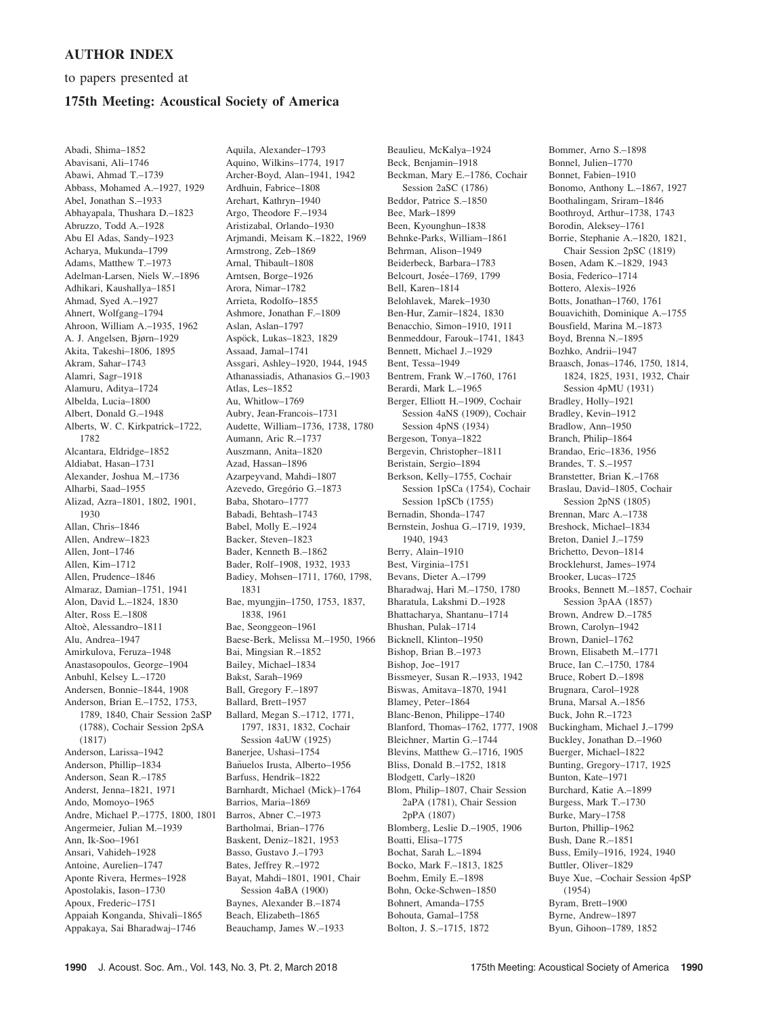## AUTHOR INDEX

to papers presented at

## 175th Meeting: Acoustical Society of America

Abadi, Shima–1852 Abavisani, Ali–1746 Abawi, Ahmad T.–1739 Abbass, Mohamed A.–1927, 1929 Abel, Jonathan S.–1933 Abhayapala, Thushara D.–1823 Abruzzo, Todd A.–1928 Abu El Adas, Sandy–1923 Acharya, Mukunda–1799 Adams, Matthew T.–1973 Adelman-Larsen, Niels W.–1896 Adhikari, Kaushallya–1851 Ahmad, Syed A.–1927 Ahnert, Wolfgang–1794 Ahroon, William A.–1935, 1962 A. J. Angelsen, Bjørn–1929 Akita, Takeshi–1806, 1895 Akram, Sahar–1743 Alamri, Sagr–1918 Alamuru, Aditya–1724 Albelda, Lucia–1800 Albert, Donald G.–1948 Alberts, W. C. Kirkpatrick–1722, 1782 Alcantara, Eldridge–1852 Aldiabat, Hasan–1731 Alexander, Joshua M.–1736 Alharbi, Saad–1955 Alizad, Azra–1801, 1802, 1901, 1930 Allan, Chris–1846 Allen, Andrew–1823 Allen, Jont–1746 Allen, Kim–1712 Allen, Prudence–1846 Almaraz, Damian–1751, 1941 Alon, David L.–1824, 1830 Alter, Ross E.–1808 Altoe`, Alessandro–1811 Alu, Andrea–1947 Amirkulova, Feruza–1948 Anastasopoulos, George–1904 Anbuhl, Kelsey L.–1720 Andersen, Bonnie–1844, 1908 Anderson, Brian E.–1752, 1753, 1789, 1840, Chair Session 2aSP (1788), Cochair Session 2pSA (1817) Anderson, Larissa–1942 Anderson, Phillip–1834 Anderson, Sean R.–1785 Anderst, Jenna–1821, 1971 Ando, Momoyo–1965 Andre, Michael P.–1775, 1800, 1801 Angermeier, Julian M.–1939 Ann, Ik-Soo–1961 Ansari, Vahideh–1928 Antoine, Aurelien–1747 Aponte Rivera, Hermes–1928 Apostolakis, Iason–1730 Apoux, Frederic–1751 Appaiah Konganda, Shivali–1865 Appakaya, Sai Bharadwaj–1746

Aquila, Alexander–1793 Aquino, Wilkins–1774, 1917 Archer-Boyd, Alan–1941, 1942 Ardhuin, Fabrice–1808 Arehart, Kathryn–1940 Argo, Theodore F.–1934 Aristizabal, Orlando–1930 Arjmandi, Meisam K.–1822, 1969 Armstrong, Zeb–1869 Arnal, Thibault–1808 Arntsen, Borge–1926 Arora, Nimar–1782 Arrieta, Rodolfo–1855 Ashmore, Jonathan F.–1809 Aslan, Aslan–1797 Aspöck, Lukas-1823, 1829 Assaad, Jamal–1741 Assgari, Ashley–1920, 1944, 1945 Athanassiadis, Athanasios G.–1903 Atlas, Les–1852 Au, Whitlow–1769 Aubry, Jean-Francois–1731 Audette, William–1736, 1738, 1780 Aumann, Aric R.–1737 Auszmann, Anita–1820 Azad, Hassan–1896 Azarpeyvand, Mahdi–1807 Azevedo, Gregório G.-1873 Baba, Shotaro–1777 Babadi, Behtash–1743 Babel, Molly E.–1924 Backer, Steven–1823 Bader, Kenneth B.–1862 Bader, Rolf–1908, 1932, 1933 Badiey, Mohsen–1711, 1760, 1798, 1831 Bae, myungjin–1750, 1753, 1837, 1838, 1961 Bae, Seonggeon–1961 Baese-Berk, Melissa M.–1950, 1966 Bai, Mingsian R.–1852 Bailey, Michael–1834 Bakst, Sarah–1969 Ball, Gregory F.–1897 Ballard, Brett–1957 Ballard, Megan S.–1712, 1771, 1797, 1831, 1832, Cochair Session 4aUW (1925) Banerjee, Ushasi–1754 Bañuelos Irusta, Alberto-1956 Barfuss, Hendrik–1822 Barnhardt, Michael (Mick)–1764 Barrios, Maria–1869 Barros, Abner C.–1973 Bartholmai, Brian–1776 Baskent, Deniz–1821, 1953 Basso, Gustavo J.–1793 Bates, Jeffrey R.–1972 Bayat, Mahdi–1801, 1901, Chair Session 4aBA (1900) Baynes, Alexander B.–1874 Beach, Elizabeth–1865 Beauchamp, James W.–1933

Beaulieu, McKalya–1924 Beck, Benjamin–1918 Beckman, Mary E.–1786, Cochair Session 2aSC (1786) Beddor, Patrice S.–1850 Bee, Mark–1899 Been, Kyounghun–1838 Behnke-Parks, William–1861 Behrman, Alison–1949 Beiderbeck, Barbara–1783 Belcourt, Josée-1769, 1799 Bell, Karen–1814 Belohlavek, Marek–1930 Ben-Hur, Zamir–1824, 1830 Benacchio, Simon–1910, 1911 Benmeddour, Farouk–1741, 1843 Bennett, Michael J.–1929 Bent, Tessa–1949 Bentrem, Frank W.–1760, 1761 Berardi, Mark L.–1965 Berger, Elliott H.–1909, Cochair Session 4aNS (1909), Cochair Session 4pNS (1934) Bergeson, Tonya–1822 Bergevin, Christopher–1811 Beristain, Sergio–1894 Berkson, Kelly–1755, Cochair Session 1pSCa (1754), Cochair Session 1pSCb (1755) Bernadin, Shonda–1747 Bernstein, Joshua G.–1719, 1939, 1940, 1943 Berry, Alain–1910 Best, Virginia–1751 Bevans, Dieter A.–1799 Bharadwaj, Hari M.–1750, 1780 Bharatula, Lakshmi D.–1928 Bhattacharya, Shantanu–1714 Bhushan, Pulak–1714 Bicknell, Klinton–1950 Bishop, Brian B.–1973 Bishop, Joe–1917 Bissmeyer, Susan R.–1933, 1942 Biswas, Amitava–1870, 1941 Blamey, Peter–1864 Blanc-Benon, Philippe–1740 Blanford, Thomas–1762, 1777, 1908 Bleichner, Martin G.–1744 Blevins, Matthew G.–1716, 1905 Bliss, Donald B.–1752, 1818 Blodgett, Carly–1820 Blom, Philip–1807, Chair Session 2aPA (1781), Chair Session 2pPA (1807) Blomberg, Leslie D.–1905, 1906 Boatti, Elisa–1775 Bochat, Sarah L.–1894 Bocko, Mark F.–1813, 1825 Boehm, Emily E.–1898 Bohn, Ocke-Schwen–1850 Bohnert, Amanda–1755 Bohouta, Gamal–1758 Bolton, J. S.–1715, 1872

Bommer, Arno S.–1898 Bonnel, Julien–1770 Bonnet, Fabien–1910 Bonomo, Anthony L.–1867, 1927 Boothalingam, Sriram–1846 Boothroyd, Arthur–1738, 1743 Borodin, Aleksey–1761 Borrie, Stephanie A.–1820, 1821, Chair Session 2pSC (1819) Bosen, Adam K.–1829, 1943 Bosia, Federico–1714 Bottero, Alexis–1926 Botts, Jonathan–1760, 1761 Bouavichith, Dominique A.–1755 Bousfield, Marina M.–1873 Boyd, Brenna N.–1895 Bozhko, Andrii–1947 Braasch, Jonas–1746, 1750, 1814, 1824, 1825, 1931, 1932, Chair Session 4pMU (1931) Bradley, Holly–1921 Bradley, Kevin–1912 Bradlow, Ann–1950 Branch, Philip–1864 Brandao, Eric–1836, 1956 Brandes, T. S.–1957 Branstetter, Brian K.–1768 Braslau, David–1805, Cochair Session 2pNS (1805) Brennan, Marc A.–1738 Breshock, Michael–1834 Breton, Daniel J.–1759 Brichetto, Devon–1814 Brocklehurst, James–1974 Brooker, Lucas–1725 Brooks, Bennett M.–1857, Cochair Session 3pAA (1857) Brown, Andrew D.–1785 Brown, Carolyn–1942 Brown, Daniel–1762 Brown, Elisabeth M.–1771 Bruce, Ian C.–1750, 1784 Bruce, Robert D.–1898 Brugnara, Carol–1928 Bruna, Marsal A.–1856 Buck, John R.–1723 Buckingham, Michael J.–1799 Buckley, Jonathan D.–1960 Buerger, Michael–1822 Bunting, Gregory–1717, 1925 Bunton, Kate–1971 Burchard, Katie A.–1899 Burgess, Mark T.–1730 Burke, Mary–1758 Burton, Phillip–1962 Bush, Dane R.–1851 Buss, Emily–1916, 1924, 1940 Buttler, Oliver–1829 Buye Xue, –Cochair Session 4pSP (1954) Byram, Brett–1900 Byrne, Andrew–1897 Byun, Gihoon–1789, 1852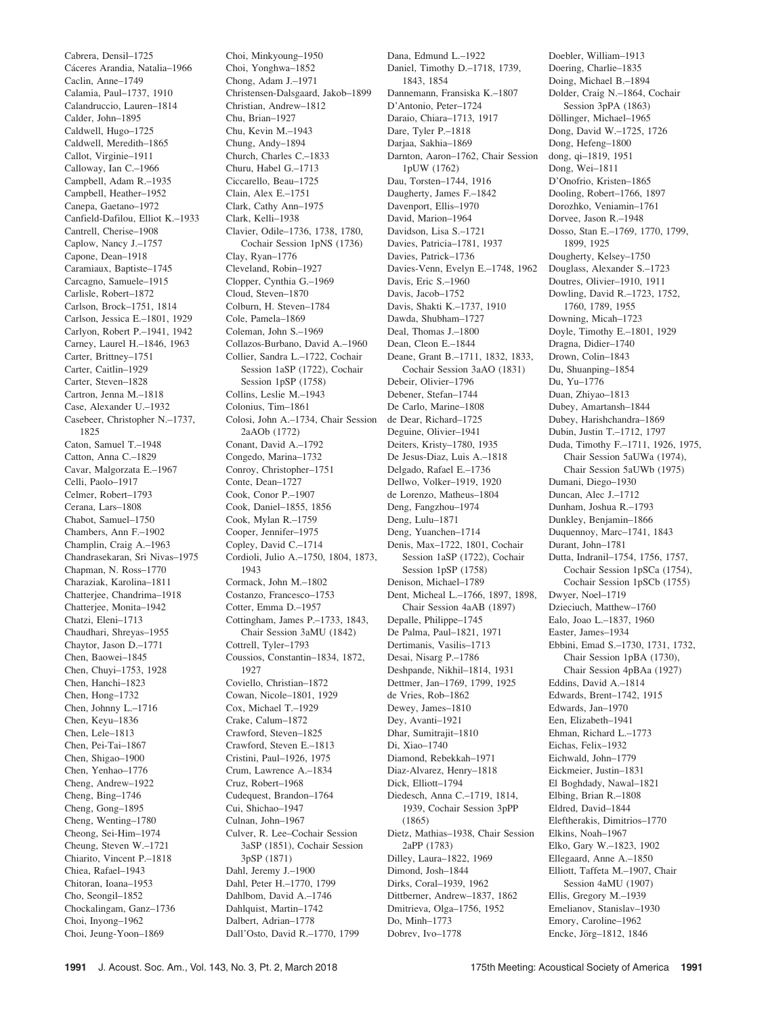Cabrera, Densil–1725 Cáceres Arandia, Natalia-1966 Caclin, Anne–1749 Calamia, Paul–1737, 1910 Calandruccio, Lauren–1814 Calder, John–1895 Caldwell, Hugo–1725 Caldwell, Meredith–1865 Callot, Virginie–1911 Calloway, Ian C.–1966 Campbell, Adam R.–1935 Campbell, Heather–1952 Canepa, Gaetano–1972 Canfield-Dafilou, Elliot K.–1933 Cantrell, Cherise–1908 Caplow, Nancy J.–1757 Capone, Dean–1918 Caramiaux, Baptiste–1745 Carcagno, Samuele–1915 Carlisle, Robert–1872 Carlson, Brock–1751, 1814 Carlson, Jessica E.–1801, 1929 Carlyon, Robert P.–1941, 1942 Carney, Laurel H.–1846, 1963 Carter, Brittney–1751 Carter, Caitlin–1929 Carter, Steven–1828 Cartron, Jenna M.–1818 Case, Alexander U.–1932 Casebeer, Christopher N.–1737, 1825 Caton, Samuel T.–1948 Catton, Anna C.–1829 Cavar, Malgorzata E.–1967 Celli, Paolo–1917 Celmer, Robert–1793 Cerana, Lars–1808 Chabot, Samuel–1750 Chambers, Ann F.–1902 Champlin, Craig A.–1963 Chandrasekaran, Sri Nivas–1975 Chapman, N. Ross–1770 Charaziak, Karolina–1811 Chatterjee, Chandrima–1918 Chatterjee, Monita–1942 Chatzi, Eleni–1713 Chaudhari, Shreyas–1955 Chaytor, Jason D.–1771 Chen, Baowei–1845 Chen, Chuyi–1753, 1928 Chen, Hanchi–1823 Chen, Hong–1732 Chen, Johnny L.–1716 Chen, Keyu–1836 Chen, Lele–1813 Chen, Pei-Tai–1867 Chen, Shigao–1900 Chen, Yenhao–1776 Cheng, Andrew–1922 Cheng, Bing–1746 Cheng, Gong–1895 Cheng, Wenting–1780 Cheong, Sei-Him–1974 Cheung, Steven W.–1721 Chiarito, Vincent P.–1818 Chiea, Rafael–1943 Chitoran, Ioana–1953 Cho, Seongil–1852 Chockalingam, Ganz–1736 Choi, Inyong–1962 Choi, Jeung-Yoon–1869

Choi, Minkyoung–1950 Choi, Yonghwa–1852 Chong, Adam J.–1971 Christensen-Dalsgaard, Jakob–1899 Christian, Andrew–1812 Chu, Brian–1927 Chu, Kevin M.–1943 Chung, Andy–1894 Church, Charles C.–1833 Churu, Habel G.–1713 Ciccarello, Beau–1725 Clain, Alex E.–1751 Clark, Cathy Ann–1975 Clark, Kelli–1938 Clavier, Odile–1736, 1738, 1780, Cochair Session 1pNS (1736) Clay, Ryan–1776 Cleveland, Robin–1927 Clopper, Cynthia G.–1969 Cloud, Steven–1870 Colburn, H. Steven–1784 Cole, Pamela–1869 Coleman, John S.–1969 Collazos-Burbano, David A.–1960 Collier, Sandra L.–1722, Cochair Session 1aSP (1722), Cochair Session 1pSP (1758) Collins, Leslie M.–1943 Colonius, Tim–1861 Colosi, John A.–1734, Chair Session 2aAOb (1772) Conant, David A.–1792 Congedo, Marina–1732 Conroy, Christopher–1751 Conte, Dean–1727 Cook, Conor P.–1907 Cook, Daniel–1855, 1856 Cook, Mylan R.–1759 Cooper, Jennifer–1975 Copley, David C.–1714 Cordioli, Julio A.–1750, 1804, 1873, 1943 Cormack, John M.–1802 Costanzo, Francesco–1753 Cotter, Emma D-1957 Cottingham, James P.–1733, 1843, Chair Session 3aMU (1842) Cottrell, Tyler–1793 Coussios, Constantin–1834, 1872, 1927 Coviello, Christian–1872 Cowan, Nicole–1801, 1929 Cox, Michael T.–1929 Crake, Calum–1872 Crawford, Steven–1825 Crawford, Steven E.–1813 Cristini, Paul–1926, 1975 Crum, Lawrence A.–1834 Cruz, Robert–1968 Cudequest, Brandon–1764 Cui, Shichao–1947 Culnan, John–1967 Culver, R. Lee–Cochair Session 3aSP (1851), Cochair Session 3pSP (1871) Dahl, Jeremy J.–1900 Dahl, Peter H.–1770, 1799 Dahlbom, David A.–1746 Dahlquist, Martin–1742 Dalbert, Adrian–1778 Dall'Osto, David R.–1770, 1799

Dana, Edmund L.–1922 Daniel, Timothy D.–1718, 1739, 1843, 1854 Dannemann, Fransiska K.–1807 D'Antonio, Peter–1724 Daraio, Chiara–1713, 1917 Dare, Tyler P.–1818 Darjaa, Sakhia–1869 Darnton, Aaron–1762, Chair Session 1pUW (1762) Dau, Torsten–1744, 1916 Daugherty, James F.–1842 Davenport, Ellis–1970 David, Marion–1964 Davidson, Lisa S.–1721 Davies, Patricia–1781, 1937 Davies, Patrick–1736 Davies-Venn, Evelyn E.–1748, 1962 Davis, Eric S.–1960 Davis, Jacob–1752 Davis, Shakti K.–1737, 1910 Dawda, Shubham–1727 Deal, Thomas J.–1800 Dean, Cleon E.–1844 Deane, Grant B.–1711, 1832, 1833, Cochair Session 3aAO (1831) Debeir, Olivier–1796 Debener, Stefan–1744 De Carlo, Marine–1808 de Dear, Richard–1725 Deguine, Olivier–1941 Deiters, Kristy–1780, 1935 De Jesus-Diaz, Luis A.–1818 Delgado, Rafael E.–1736 Dellwo, Volker–1919, 1920 de Lorenzo, Matheus–1804 Deng, Fangzhou–1974 Deng, Lulu–1871 Deng, Yuanchen–1714 Denis, Max–1722, 1801, Cochair Session 1aSP (1722), Cochair Session 1pSP (1758) Denison, Michael–1789 Dent, Micheal L.–1766, 1897, 1898, Chair Session 4aAB (1897) Depalle, Philippe–1745 De Palma, Paul–1821, 1971 Dertimanis, Vasilis–1713 Desai, Nisarg P.–1786 Deshpande, Nikhil–1814, 1931 Dettmer, Jan–1769, 1799, 1925 de Vries, Rob–1862 Dewey, James–1810 Dey, Avanti–1921 Dhar, Sumitrajit–1810 Di, Xiao–1740 Diamond, Rebekkah–1971 Diaz-Alvarez, Henry–1818 Dick, Elliott–1794 Diedesch, Anna C.–1719, 1814, 1939, Cochair Session 3pPP (1865) Dietz, Mathias–1938, Chair Session 2aPP (1783) Dilley, Laura–1822, 1969 Dimond, Josh–1844 Dirks, Coral–1939, 1962 Dittberner, Andrew–1837, 1862 Dmitrieva, Olga–1756, 1952 Do, Minh–1773 Dobrev, Ivo–1778

Doebler, William–1913 Doering, Charlie–1835 Doing, Michael B.–1894 Dolder, Craig N.–1864, Cochair Session 3pPA (1863) Döllinger, Michael-1965 Dong, David W.–1725, 1726 Dong, Hefeng–1800 dong, qi–1819, 1951 Dong, Wei–1811 D'Onofrio, Kristen–1865 Dooling, Robert–1766, 1897 Dorozhko, Veniamin–1761 Dorvee, Jason R.–1948 Dosso, Stan E.–1769, 1770, 1799, 1899, 1925 Dougherty, Kelsey–1750 Douglass, Alexander S.–1723 Doutres, Olivier–1910, 1911 Dowling, David R.–1723, 1752, 1760, 1789, 1955 Downing, Micah–1723 Doyle, Timothy E.–1801, 1929 Dragna, Didier–1740 Drown, Colin–1843 Du, Shuanping–1854 Du, Yu–1776 Duan, Zhiyao–1813 Dubey, Amartansh–1844 Dubey, Harishchandra–1869 Dubin, Justin T.–1712, 1797 Duda, Timothy F.–1711, 1926, 1975, Chair Session 5aUWa (1974), Chair Session 5aUWb (1975) Dumani, Diego–1930 Duncan, Alec J.–1712 Dunham, Joshua R.–1793 Dunkley, Benjamin–1866 Duquennoy, Marc–1741, 1843 Durant, John–1781 Dutta, Indranil–1754, 1756, 1757, Cochair Session 1pSCa (1754), Cochair Session 1pSCb (1755) Dwyer, Noel–1719 Dzieciuch, Matthew–1760 Ealo, Joao L.–1837, 1960 Easter, James–1934 Ebbini, Emad S.–1730, 1731, 1732, Chair Session 1pBA (1730), Chair Session 4pBAa (1927) Eddins, David A.–1814 Edwards, Brent–1742, 1915 Edwards, Jan–1970 Een, Elizabeth–1941 Ehman, Richard L.–1773 Eichas, Felix–1932 Eichwald, John–1779 Eickmeier, Justin–1831 El Boghdady, Nawal–1821 Elbing, Brian R.–1808 Eldred, David–1844 Eleftherakis, Dimitrios–1770 Elkins, Noah–1967 Elko, Gary W.–1823, 1902 Ellegaard, Anne A.–1850 Elliott, Taffeta M.–1907, Chair Session 4aMU (1907) Ellis, Gregory M.–1939 Emelianov, Stanislav–1930 Emory, Caroline–1962 Encke, Jörg-1812, 1846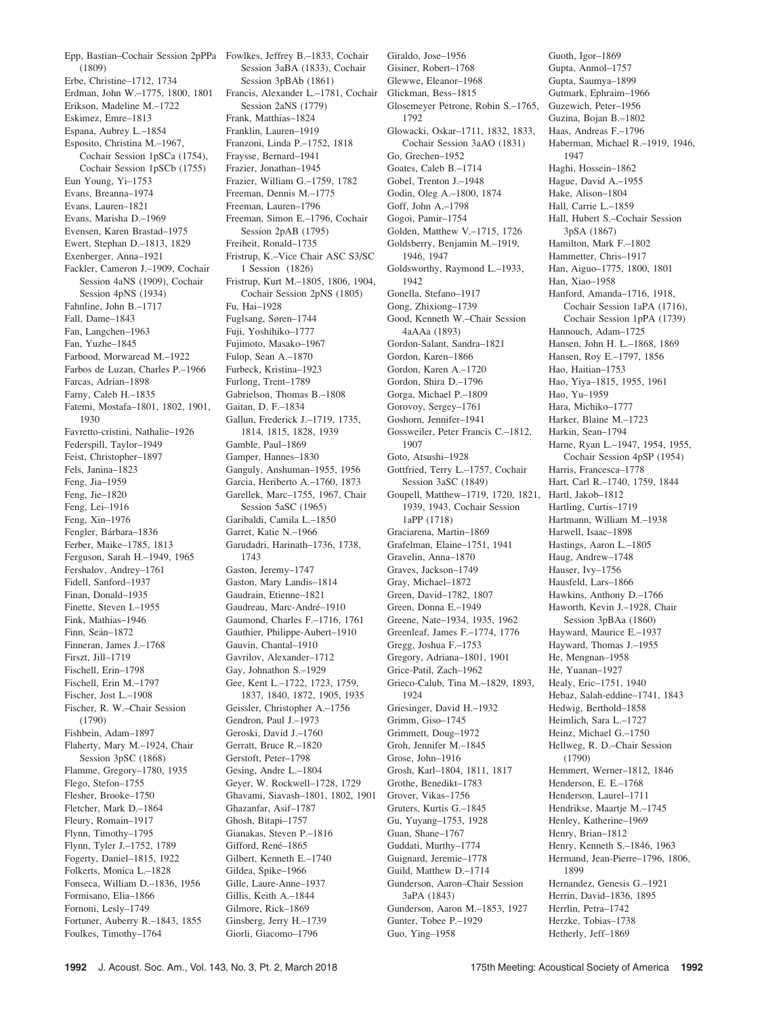Epp, Bastian–Cochair Session 2pPPa Fowlkes, Jeffrey B.–1833, Cochair (1809) Erbe, Christine–1712, 1734 Erdman, John W.–1775, 1800, 1801 Erikson, Madeline M.–1722 Eskimez, Emre–1813 Espana, Aubrey L.–1854 Esposito, Christina M.–1967, Cochair Session 1pSCa (1754), Cochair Session 1pSCb (1755) Eun Young, Yi–1753 Evans, Breanna–1974 Evans, Lauren–1821 Evans, Marisha D.–1969 Evensen, Karen Brastad–1975 Ewert, Stephan D.–1813, 1829 Exenberger, Anna–1921 Fackler, Cameron J.–1909, Cochair Session 4aNS (1909), Cochair Session 4pNS (1934) Fahnline, John B.–1717 Fall, Dame–1843 Fan, Langchen–1963 Fan, Yuzhe–1845 Farbood, Morwaread M.–1922 Farbos de Luzan, Charles P.–1966 Farcas, Adrian–1898 Farny, Caleb H.–1835 Fatemi, Mostafa–1801, 1802, 1901, 1930 Favretto-cristini, Nathalie–1926 Federspill, Taylor–1949 Feist, Christopher–1897 Fels, Janina–1823 Feng, Jia–1959 Feng, Jie–1820 Feng, Lei–1916 Feng, Xin–1976 Fengler, Bárbara-1836 Ferber, Maike–1785, 1813 Ferguson, Sarah H.–1949, 1965 Fershalov, Andrey–1761 Fidell, Sanford–1937 Finan, Donald–1935 Finette, Steven I-1955 Fink, Mathias–1946 Finn, Seán–1872 Finneran, James J.–1768 Firszt, Jill–1719 Fischell, Erin–1798 Fischell, Erin M.–1797 Fischer, Jost L.–1908 Fischer, R. W.–Chair Session (1790) Fishbein, Adam–1897 Flaherty, Mary M.–1924, Chair Session 3pSC (1868) Flamme, Gregory–1780, 1935 Flego, Stefon–1755 Flesher, Brooke–1750 Fletcher, Mark D.–1864 Fleury, Romain–1917 Flynn, Timothy–1795 Flynn, Tyler J.–1752, 1789 Fogerty, Daniel–1815, 1922 Folkerts, Monica L.–1828 Fonseca, William D.–1836, 1956 Formisano, Elia–1866 Fornoni, Lesly–1749 Fortuner, Auberry R.–1843, 1855 Foulkes, Timothy–1764

Session 3aBA (1833), Cochair Session 3pBAb (1861) Francis, Alexander L.–1781, Cochair Session 2aNS (1779) Frank, Matthias–1824 Franklin, Lauren–1919 Franzoni, Linda P.–1752, 1818 Fraysse, Bernard–1941 Frazier, Jonathan–1945 Frazier, William G.–1759, 1782 Freeman, Dennis M.–1775 Freeman, Lauren–1796 Freeman, Simon E.–1796, Cochair Session 2pAB (1795) Freiheit, Ronald–1735 Fristrup, K.–Vice Chair ASC S3/SC 1 Session (1826) Fristrup, Kurt M.–1805, 1806, 1904, Cochair Session 2pNS (1805) Fu, Hai–1928 Fuglsang, Søren–1744 Fuji, Yoshihiko–1777 Fujimoto, Masako–1967 Fulop, Sean A.–1870 Furbeck, Kristina–1923 Furlong, Trent–1789 Gabrielson, Thomas B.–1808 Gaitan, D. F.–1834 Gallun, Frederick J.–1719, 1735, 1814, 1815, 1828, 1939 Gamble, Paul–1869 Gamper, Hannes–1830 Ganguly, Anshuman–1955, 1956 Garcia, Heriberto A.–1760, 1873 Garellek, Marc–1755, 1967, Chair Session 5aSC (1965) Garibaldi, Camila L.–1850 Garret, Katie N.–1966 Garudadri, Harinath–1736, 1738, 1743 Gaston, Jeremy–1747 Gaston, Mary Landis–1814 Gaudrain, Etienne–1821 Gaudreau, Marc-André-1910 Gaumond, Charles F.–1716, 1761 Gauthier, Philippe-Aubert–1910 Gauvin, Chantal–1910 Gavrilov, Alexander–1712 Gay, Johnathon S.–1929 Gee, Kent L.–1722, 1723, 1759, 1837, 1840, 1872, 1905, 1935 Geissler, Christopher A.–1756 Gendron, Paul J.–1973 Geroski, David J.–1760 Gerratt, Bruce R.–1820 Gerstoft, Peter–1798 Gesing, Andre L.–1804 Geyer, W. Rockwell–1728, 1729 Ghavami, Siavash–1801, 1802, 1901 Ghazanfar, Asif–1787 Ghosh, Bitapi–1757 Gianakas, Steven P.–1816 Gifford, René-1865 Gilbert, Kenneth E.–1740 Gildea, Spike–1966 Gille, Laure-Anne–1937 Gillis, Keith A.–1844 Gilmore, Rick–1869 Ginsberg, Jerry H.–1739

Giraldo, Jose–1956 Gisiner, Robert–1768 Glewwe, Eleanor–1968 Glickman, Bess–1815 Glosemeyer Petrone, Robin S.–1765, 1792 Glowacki, Oskar–1711, 1832, 1833, Cochair Session 3aAO (1831) Go, Grechen–1952 Goates, Caleb B.–1714 Gobel, Trenton J.–1948 Godin, Oleg A.–1800, 1874 Goff, John A.–1798 Gogoi, Pamir–1754 Golden, Matthew V.–1715, 1726 Goldsberry, Benjamin M.–1919, 1946, 1947 Goldsworthy, Raymond L.–1933, 1942 Gonella, Stefano–1917 Gong, Zhixiong–1739 Good, Kenneth W.–Chair Session 4aAAa (1893) Gordon-Salant, Sandra–1821 Gordon, Karen–1866 Gordon, Karen A.–1720 Gordon, Shira D.–1796 Gorga, Michael P.–1809 Gorovoy, Sergey–1761 Goshorn, Jennifer–1941 Gossweiler, Peter Francis C.–1812, 1907 Goto, Atsushi–1928 Gottfried, Terry L.–1757, Cochair Session 3aSC (1849) Goupell, Matthew–1719, 1720, 1821, Hartl, Jakob–1812 1939, 1943, Cochair Session 1aPP (1718) Graciarena, Martin–1869 Grafelman, Elaine–1751, 1941 Gravelin, Anna–1870 Graves, Jackson–1749 Gray, Michael–1872 Green, David–1782, 1807 Green, Donna E.–1949 Greene, Nate–1934, 1935, 1962 Greenleaf, James F.–1774, 1776 Gregg, Joshua F.–1753 Gregory, Adriana–1801, 1901 Grice-Patil, Zach–1962 Grieco-Calub, Tina M.–1829, 1893, 1924 Griesinger, David H.–1932 Grimm, Giso–1745 Grimmett, Doug–1972 Groh, Jennifer M.–1845 Grose, John–1916 Grosh, Karl–1804, 1811, 1817 Grothe, Benedikt–1783 Grover, Vikas–1756 Gruters, Kurtis G.–1845 Gu, Yuyang–1753, 1928 Guan, Shane–1767 Guddati, Murthy–1774 Guignard, Jeremie–1778 Guild, Matthew D.–1714 Gunderson, Aaron–Chair Session 3aPA (1843) Gunderson, Aaron M.–1853, 1927 Gunter, Tobee P.–1929 Guo, Ying–1958

Guoth, Igor–1869 Gupta, Anmol–1757 Gupta, Saumya–1899 Gutmark, Ephraim–1966 Guzewich, Peter–1956 Guzina, Bojan B.–1802 Haas, Andreas F.–1796 Haberman, Michael R.–1919, 1946, 1947 Haghi, Hossein–1862 Hague, David A.–1955 Hake, Alison–1804 Hall, Carrie L.–1859 Hall, Hubert S.–Cochair Session 3pSA (1867) Hamilton, Mark F.–1802 Hammetter, Chris–1917 Han, Aiguo–1775, 1800, 1801 Han, Xiao–1958 Hanford, Amanda–1716, 1918, Cochair Session 1aPA (1716), Cochair Session 1pPA (1739) Hannouch, Adam–1725 Hansen, John H. L.–1868, 1869 Hansen, Roy E.–1797, 1856 Hao, Haitian–1753 Hao, Yiya–1815, 1955, 1961 Hao, Yu–1959 Hara, Michiko–1777 Harker, Blaine M.–1723 Harkin, Sean–1794 Harne, Ryan L.–1947, 1954, 1955, Cochair Session 4pSP (1954) Harris, Francesca–1778 Hart, Carl R.–1740, 1759, 1844 Hartling, Curtis–1719 Hartmann, William M.–1938 Harwell, Isaac–1898 Hastings, Aaron L.–1805 Haug, Andrew–1748 Hauser, Ivy–1756 Hausfeld, Lars–1866 Hawkins, Anthony D.–1766 Haworth, Kevin J.–1928, Chair Session 3pBAa (1860) Hayward, Maurice E.–1937 Hayward, Thomas J.–1955 He, Mengnan–1958 He, Yuanan–1927 Healy, Eric–1751, 1940 Hebaz, Salah-eddine–1741, 1843 Hedwig, Berthold–1858 Heimlich, Sara L.–1727 Heinz, Michael G.–1750 Hellweg, R. D.–Chair Session (1790) Hemmert, Werner–1812, 1846 Henderson, E. E.–1768 Henderson, Laurel–1711 Hendrikse, Maartje M.–1745 Henley, Katherine–1969 Henry, Brian–1812 Henry, Kenneth S.–1846, 1963 Hermand, Jean-Pierre–1796, 1806, 1899 Hernandez, Genesis G.–1921 Herrin, David–1836, 1895 Herrlin, Petra–1742 Herzke, Tobias–1738

Giorli, Giacomo–1796

Hetherly, Jeff–1869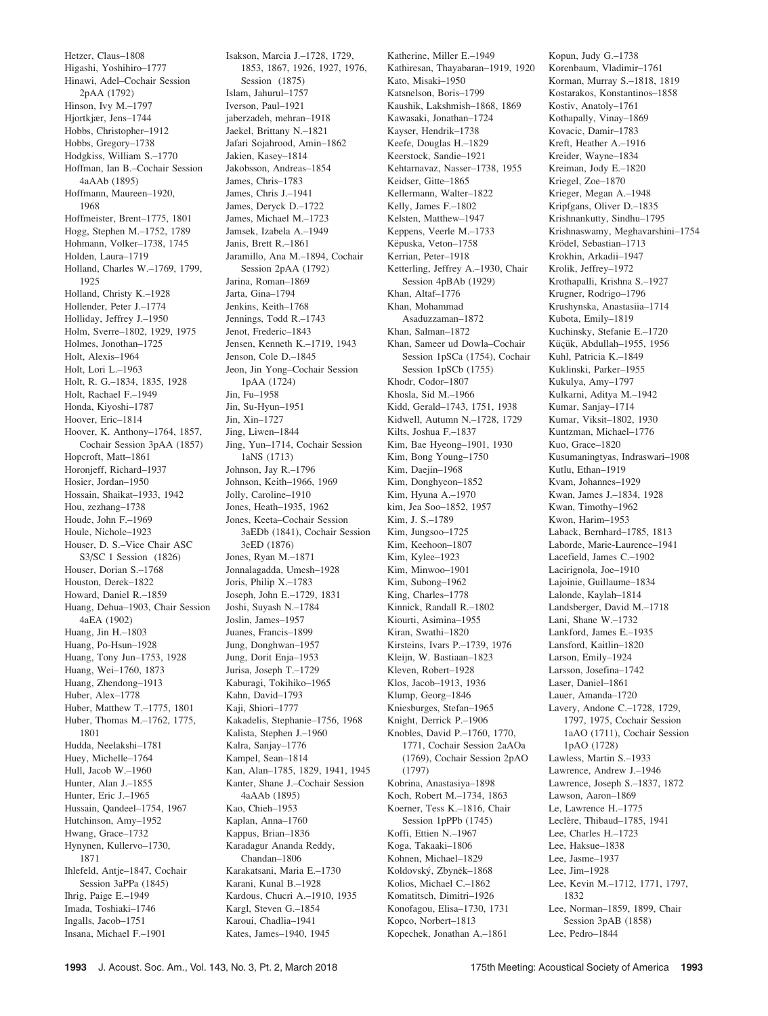Hetzer, Claus–1808 Higashi, Yoshihiro–1777 Hinawi, Adel–Cochair Session 2pAA (1792) Hinson, Ivy M.–1797 Hjortkjær, Jens–1744 Hobbs, Christopher–1912 Hobbs, Gregory–1738 Hodgkiss, William S.–1770 Hoffman, Ian B.–Cochair Session 4aAAb (1895) Hoffmann, Maureen–1920, 1968 Hoffmeister, Brent–1775, 1801 Hogg, Stephen M.–1752, 1789 Hohmann, Volker–1738, 1745 Holden, Laura–1719 Holland, Charles W.–1769, 1799, 1925 Holland, Christy K.–1928 Hollender, Peter J.–1774 Holliday, Jeffrey J.–1950 Holm, Sverre–1802, 1929, 1975 Holmes, Jonothan–1725 Holt, Alexis–1964 Holt, Lori L.–1963 Holt, R. G.–1834, 1835, 1928 Holt, Rachael F.–1949 Honda, Kiyoshi–1787 Hoover, Eric–1814 Hoover, K. Anthony–1764, 1857, Cochair Session 3pAA (1857) Hopcroft, Matt–1861 Horonjeff, Richard–1937 Hosier, Jordan–1950 Hossain, Shaikat–1933, 1942 Hou, zezhang–1738 Houde, John F.–1969 Houle, Nichole–1923 Houser, D. S.–Vice Chair ASC S3/SC 1 Session (1826) Houser, Dorian S.–1768 Houston, Derek–1822 Howard, Daniel R.–1859 Huang, Dehua–1903, Chair Session 4aEA (1902) Huang, Jin H.–1803 Huang, Po-Hsun–1928 Huang, Tony Jun–1753, 1928 Huang, Wei–1760, 1873 Huang, Zhendong–1913 Huber, Alex–1778 Huber, Matthew T.–1775, 1801 Huber, Thomas M.–1762, 1775, 1801 Hudda, Neelakshi–1781 Huey, Michelle–1764 Hull, Jacob W.–1960 Hunter, Alan J.–1855 Hunter, Eric J.–1965 Hussain, Qandeel–1754, 1967 Hutchinson, Amy–1952 Hwang, Grace–1732 Hynynen, Kullervo–1730, 1871 Ihlefeld, Antje–1847, Cochair Session 3aPPa (1845) Ihrig, Paige E.–1949 Imada, Toshiaki–1746 Ingalls, Jacob–1751 Insana, Michael F.–1901

Isakson, Marcia J.–1728, 1729, 1853, 1867, 1926, 1927, 1976, Session (1875) Islam, Jahurul–1757 Iverson, Paul–1921 jaberzadeh, mehran–1918 Jaekel, Brittany N.–1821 Jafari Sojahrood, Amin–1862 Jakien, Kasey–1814 Jakobsson, Andreas–1854 James, Chris–1783 James, Chris J.–1941 James, Deryck D.–1722 James, Michael M.–1723 Jamsek, Izabela A.–1949 Janis, Brett R.–1861 Jaramillo, Ana M.–1894, Cochair Session 2pAA (1792) Jarina, Roman–1869 Jarta, Gina–1794 Jenkins, Keith–1768 Jennings, Todd R.–1743 Jenot, Frederic–1843 Jensen, Kenneth K.–1719, 1943 Jenson, Cole D.–1845 Jeon, Jin Yong–Cochair Session 1pAA (1724) Jin, Fu–1958 Jin, Su-Hyun–1951 Jin, Xin–1727 Jing, Liwen–1844 Jing, Yun–1714, Cochair Session 1aNS (1713) Johnson, Jay R.–1796 Johnson, Keith–1966, 1969 Jolly, Caroline–1910 Jones, Heath–1935, 1962 Jones, Keeta–Cochair Session 3aEDb (1841), Cochair Session 3eED (1876) Jones, Ryan M.–1871 Jonnalagadda, Umesh–1928 Joris, Philip X.–1783 Joseph, John E.–1729, 1831 Joshi, Suyash N.–1784 Joslin, James–1957 Juanes, Francis–1899 Jung, Donghwan–1957 Jung, Dorit Enja–1953 Jurisa, Joseph T.–1729 Kaburagi, Tokihiko–1965 Kahn, David–1793 Kaji, Shiori–1777 Kakadelis, Stephanie–1756, 1968 Kalista, Stephen J.–1960 Kalra, Sanjay–1776 Kampel, Sean–1814 Kan, Alan–1785, 1829, 1941, 1945 Kanter, Shane J.–Cochair Session 4aAAb (1895) Kao, Chieh–1953 Kaplan, Anna–1760 Kappus, Brian–1836 Karadagur Ananda Reddy, Chandan–1806 Karakatsani, Maria E.–1730 Karani, Kunal B.–1928 Kardous, Chucri A.–1910, 1935 Kargl, Steven G.–1854 Karoui, Chadlia–1941 Kates, James–1940, 1945

Katherine, Miller E.–1949 Kathiresan, Thayabaran–1919, 1920 Kato, Misaki–1950 Katsnelson, Boris–1799 Kaushik, Lakshmish–1868, 1869 Kawasaki, Jonathan–1724 Kayser, Hendrik–1738 Keefe, Douglas H.–1829 Keerstock, Sandie–1921 Kehtarnavaz, Nasser–1738, 1955 Keidser, Gitte–1865 Kellermann, Walter–1822 Kelly, James F.–1802 Kelsten, Matthew–1947 Keppens, Veerle M.–1733 Këpuska, Veton-1758 Kerrian, Peter–1918 Ketterling, Jeffrey A.–1930, Chair Session 4pBAb (1929) Khan, Altaf–1776 Khan, Mohammad Asaduzzaman–1872 Khan, Salman–1872 Khan, Sameer ud Dowla–Cochair Session 1pSCa (1754), Cochair Session 1pSCb (1755) Khodr, Codor–1807 Khosla, Sid M.–1966 Kidd, Gerald–1743, 1751, 1938 Kidwell, Autumn N.–1728, 1729 Kilts, Joshua F.–1837 Kim, Bae Hyeong–1901, 1930 Kim, Bong Young–1750 Kim, Daejin–1968 Kim, Donghyeon–1852 Kim, Hyuna A.–1970 kim, Jea Soo–1852, 1957 Kim, J. S.–1789 Kim, Jungsoo–1725 Kim, Keehoon–1807 Kim, Kylee–1923 Kim, Minwoo–1901 Kim, Subong–1962 King, Charles–1778 Kinnick, Randall R.–1802 Kiourti, Asimina–1955 Kiran, Swathi–1820 Kirsteins, Ivars P.–1739, 1976 Kleijn, W. Bastiaan-1823 Kleven, Robert–1928 Klos, Jacob–1913, 1936 Klump, Georg–1846 Kniesburges, Stefan–1965 Knight, Derrick P.–1906 Knobles, David P.–1760, 1770, 1771, Cochair Session 2aAOa (1769), Cochair Session 2pAO (1797) Kobrina, Anastasiya–1898 Koch, Robert M.–1734, 1863 Koerner, Tess K.–1816, Chair Session 1pPPb (1745) Koffi, Ettien N.–1967 Koga, Takaaki–1806 Kohnen, Michael–1829 Koldovský, Zbyněk-1868 Kolios, Michael C.–1862 Komatitsch, Dimitri–1926 Konofagou, Elisa–1730, 1731 Kopco, Norbert–1813 Kopechek, Jonathan A.–1861

Kopun, Judy G.–1738 Korenbaum, Vladimir–1761 Korman, Murray S.–1818, 1819 Kostarakos, Konstantinos–1858 Kostiv, Anatoly–1761 Kothapally, Vinay–1869 Kovacic, Damir–1783 Kreft, Heather A.–1916 Kreider, Wayne–1834 Kreiman, Jody E.–1820 Kriegel, Zoe–1870 Krieger, Megan A.–1948 Kripfgans, Oliver D.–1835 Krishnankutty, Sindhu–1795 Krishnaswamy, Meghavarshini–1754 Krödel, Sebastian-1713 Krokhin, Arkadii–1947 Krolik, Jeffrey–1972 Krothapalli, Krishna S.–1927 Krugner, Rodrigo–1796 Krushynska, Anastasiia–1714 Kubota, Emily–1819 Kuchinsky, Stefanie E.–1720 Küçük, Abdullah-1955, 1956 Kuhl, Patricia K.–1849 Kuklinski, Parker–1955 Kukulya, Amy–1797 Kulkarni, Aditya M.–1942 Kumar, Sanjay–1714 Kumar, Viksit–1802, 1930 Kuntzman, Michael–1776 Kuo, Grace–1820 Kusumaningtyas, Indraswari–1908 Kutlu, Ethan–1919 Kvam, Johannes–1929 Kwan, James J.–1834, 1928 Kwan, Timothy–1962 Kwon, Harim–1953 Laback, Bernhard–1785, 1813 Laborde, Marie-Laurence–1941 Lacefield, James C.–1902 Lacirignola, Joe–1910 Lajoinie, Guillaume–1834 Lalonde, Kaylah–1814 Landsberger, David M.–1718 Lani, Shane W.–1732 Lankford, James E.–1935 Lansford, Kaitlin–1820 Larson, Emily–1924 Larsson, Josefina–1742 Laser, Daniel–1861 Lauer, Amanda–1720 Lavery, Andone C.–1728, 1729, 1797, 1975, Cochair Session 1aAO (1711), Cochair Session 1pAO (1728) Lawless, Martin S.–1933 Lawrence, Andrew J.–1946 Lawrence, Joseph S.–1837, 1872 Lawson, Aaron–1869 Le, Lawrence H.–1775 Leclère, Thibaud–1785, 1941 Lee, Charles H.–1723 Lee, Haksue–1838 Lee, Jasme–1937 Lee, Jim–1928 Lee, Kevin M.–1712, 1771, 1797, 1832 Lee, Norman–1859, 1899, Chair Session 3pAB (1858)

Lee, Pedro–1844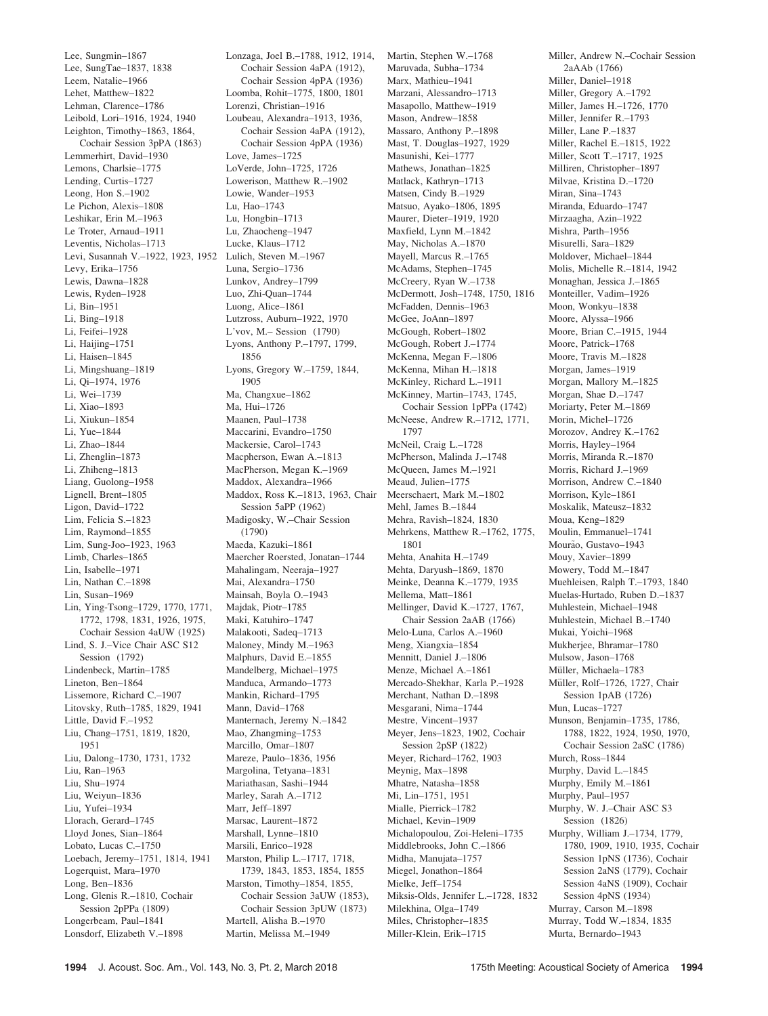Lee, Sungmin–1867 Lee, SungTae–1837, 1838 Leem, Natalie–1966 Lehet, Matthew–1822 Lehman, Clarence–1786 Leibold, Lori–1916, 1924, 1940 Leighton, Timothy–1863, 1864, Cochair Session 3pPA (1863) Lemmerhirt, David–1930 Lemons, Charlsie–1775 Lending, Curtis–1727 Leong, Hon S.–1902 Le Pichon, Alexis–1808 Leshikar, Erin M.–1963 Le Troter, Arnaud–1911 Leventis, Nicholas–1713 Levi, Susannah V.–1922, 1923, 1952 Lulich, Steven M.–1967 Levy, Erika–1756 Lewis, Dawna–1828 Lewis, Ryden–1928 Li, Bin–1951 Li, Bing–1918 Li, Feifei–1928 Li, Haijing–1751 Li, Haisen–1845 Li, Mingshuang–1819 Li, Qi–1974, 1976 Li, Wei–1739 Li, Xiao–1893 Li, Xiukun–1854 Li, Yue–1844 Li, Zhao–1844 Li, Zhenglin–1873 Li, Zhiheng–1813 Liang, Guolong–1958 Lignell, Brent–1805 Ligon, David–1722 Lim, Felicia S.–1823 Lim, Raymond–1855 Lim, Sung-Joo–1923, 1963 Limb, Charles–1865 Lin, Isabelle–1971 Lin, Nathan C.–1898 Lin, Susan–1969 Lin, Ying-Tsong–1729, 1770, 1771, 1772, 1798, 1831, 1926, 1975, Cochair Session 4aUW (1925) Lind, S. J.–Vice Chair ASC S12 Session (1792) Lindenbeck, Martin–1785 Lineton, Ben–1864 Lissemore, Richard C.–1907 Litovsky, Ruth–1785, 1829, 1941 Little, David F.–1952 Liu, Chang–1751, 1819, 1820, 1951 Liu, Dalong–1730, 1731, 1732 Liu, Ran–1963 Liu, Shu–1974 Liu, Weiyun–1836 Liu, Yufei–1934 Llorach, Gerard–1745 Lloyd Jones, Sian–1864 Lobato, Lucas C.–1750 Loebach, Jeremy–1751, 1814, 1941 Logerquist, Mara–1970 Long, Ben–1836 Long, Glenis R.–1810, Cochair Session 2pPPa (1809) Longerbeam, Paul–1841 Lonsdorf, Elizabeth V.–1898

Lonzaga, Joel B.–1788, 1912, 1914, Cochair Session 4aPA (1912), Cochair Session 4pPA (1936) Loomba, Rohit–1775, 1800, 1801 Lorenzi, Christian–1916 Loubeau, Alexandra–1913, 1936, Cochair Session 4aPA (1912), Cochair Session 4pPA (1936) Love, James–1725 LoVerde, John–1725, 1726 Lowerison, Matthew R.–1902 Lowie, Wander–1953 Lu, Hao–1743 Lu, Hongbin–1713 Lu, Zhaocheng–1947 Lucke, Klaus–1712 Luna, Sergio–1736 Lunkov, Andrey–1799 Luo, Zhi-Quan–1744 Luong, Alice–1861 Lutzross, Auburn–1922, 1970 L'vov, M.– Session (1790) Lyons, Anthony P.–1797, 1799, 1856 Lyons, Gregory W.–1759, 1844, 1905 Ma, Changxue–1862 Ma, Hui–1726 Maanen, Paul–1738 Maccarini, Evandro–1750 Mackersie, Carol–1743 Macpherson, Ewan A.–1813 MacPherson, Megan K.–1969 Maddox, Alexandra–1966 Maddox, Ross K.–1813, 1963, Chair Session 5aPP (1962) Madigosky, W.–Chair Session (1790) Maeda, Kazuki–1861 Maercher Roersted, Jonatan–1744 Mahalingam, Neeraja–1927 Mai, Alexandra–1750 Mainsah, Boyla O.–1943 Majdak, Piotr–1785 Maki, Katuhiro–1747 Malakooti, Sadeq–1713 Maloney, Mindy M.–1963 Malphurs, David E.–1855 Mandelberg, Michael–1975 Manduca, Armando–1773 Mankin, Richard–1795 Mann, David–1768 Manternach, Jeremy N.–1842 Mao, Zhangming–1753 Marcillo, Omar–1807 Mareze, Paulo–1836, 1956 Margolina, Tetyana–1831 Mariathasan, Sashi–1944 Marley, Sarah A.–1712 Marr, Jeff–1897 Marsac, Laurent–1872 Marshall, Lynne–1810 Marsili, Enrico–1928 Marston, Philip L.–1717, 1718, 1739, 1843, 1853, 1854, 1855 Marston, Timothy–1854, 1855, Cochair Session 3aUW (1853), Cochair Session 3pUW (1873) Martell, Alisha B.–1970

Martin, Stephen W.–1768 Maruvada, Subha–1734 Marx, Mathieu–1941 Marzani, Alessandro–1713 Masapollo, Matthew–1919 Mason, Andrew–1858 Massaro, Anthony P.–1898 Mast, T. Douglas–1927, 1929 Masunishi, Kei–1777 Mathews, Jonathan–1825 Matlack, Kathryn–1713 Matsen, Cindy B.–1929 Matsuo, Ayako–1806, 1895 Maurer, Dieter–1919, 1920 Maxfield, Lynn M.–1842 May, Nicholas A.–1870 Mayell, Marcus R.–1765 McAdams, Stephen–1745 McCreery, Ryan W.–1738 McDermott, Josh–1748, 1750, 1816 McFadden, Dennis–1963 McGee, JoAnn–1897 McGough, Robert–1802 McGough, Robert J.–1774 McKenna, Megan F.–1806 McKenna, Mihan H.–1818 McKinley, Richard L.–1911 McKinney, Martin–1743, 1745, Cochair Session 1pPPa (1742) McNeese, Andrew R.–1712, 1771, 1797 McNeil, Craig L.–1728 McPherson, Malinda J.–1748 McQueen, James M.–1921 Meaud, Julien–1775 Meerschaert, Mark M.–1802 Mehl, James B.–1844 Mehra, Ravish–1824, 1830 Mehrkens, Matthew R.–1762, 1775, 1801 Mehta, Anahita H.–1749 Mehta, Daryush–1869, 1870 Meinke, Deanna K.–1779, 1935 Mellema, Matt–1861 Mellinger, David K.–1727, 1767, Chair Session 2aAB (1766) Melo-Luna, Carlos A.–1960 Meng, Xiangxia–1854 Mennitt, Daniel J.–1806 Menze, Michael A.–1861 Mercado-Shekhar, Karla P.–1928 Merchant, Nathan D.–1898 Mesgarani, Nima–1744 Mestre, Vincent–1937 Meyer, Jens–1823, 1902, Cochair Session 2pSP (1822) Meyer, Richard–1762, 1903 Meynig, Max–1898 Mhatre, Natasha–1858 Mi, Lin–1751, 1951 Mialle, Pierrick–1782 Michael, Kevin–1909 Michalopoulou, Zoi-Heleni–1735 Middlebrooks, John C.–1866 Midha, Manujata–1757 Miegel, Jonathon–1864 Mielke, Jeff–1754 Miksis-Olds, Jennifer L.–1728, 1832 Milekhina, Olga–1749 Miles, Christopher–1835 Miller-Klein, Erik–1715

Miller, Andrew N.–Cochair Session 2aAAb (1766) Miller, Daniel–1918 Miller, Gregory A.–1792 Miller, James H.–1726, 1770 Miller, Jennifer R.–1793 Miller, Lane P.–1837 Miller, Rachel E.–1815, 1922 Miller, Scott T.–1717, 1925 Milliren, Christopher–1897 Milvae, Kristina D.–1720 Miran, Sina–1743 Miranda, Eduardo–1747 Mirzaagha, Azin–1922 Mishra, Parth–1956 Misurelli, Sara–1829 Moldover, Michael–1844 Molis, Michelle R.–1814, 1942 Monaghan, Jessica J.–1865 Monteiller, Vadim–1926 Moon, Wonkyu–1838 Moore, Alyssa–1966 Moore, Brian C.–1915, 1944 Moore, Patrick–1768 Moore, Travis M.–1828 Morgan, James–1919 Morgan, Mallory M.–1825 Morgan, Shae D.–1747 Moriarty, Peter M.–1869 Morin, Michel–1726 Morozov, Andrey K.–1762 Morris, Hayley–1964 Morris, Miranda R.–1870 Morris, Richard J.–1969 Morrison, Andrew C.–1840 Morrison, Kyle–1861 Moskalik, Mateusz–1832 Moua, Keng–1829 Moulin, Emmanuel–1741 Mourão, Gustavo-1943 Mouy, Xavier–1899 Mowery, Todd M.–1847 Muehleisen, Ralph T.–1793, 1840 Muelas-Hurtado, Ruben D.–1837 Muhlestein, Michael–1948 Muhlestein, Michael B.–1740 Mukai, Yoichi–1968 Mukherjee, Bhramar–1780 Mulsow, Jason–1768 Müller, Michaela-1783 Müller, Rolf-1726, 1727, Chair Session 1pAB (1726) Mun, Lucas–1727 Munson, Benjamin–1735, 1786, 1788, 1822, 1924, 1950, 1970, Cochair Session 2aSC (1786) Murch, Ross–1844 Murphy, David L.–1845 Murphy, Emily M.–1861 Murphy, Paul–1957 Murphy, W. J.–Chair ASC S3 Session (1826) Murphy, William J.–1734, 1779, 1780, 1909, 1910, 1935, Cochair Session 1pNS (1736), Cochair Session 2aNS (1779), Cochair Session 4aNS (1909), Cochair Session 4pNS (1934) Murray, Carson M.–1898 Murray, Todd W.–1834, 1835 Murta, Bernardo–1943

Martin, Melissa M.–1949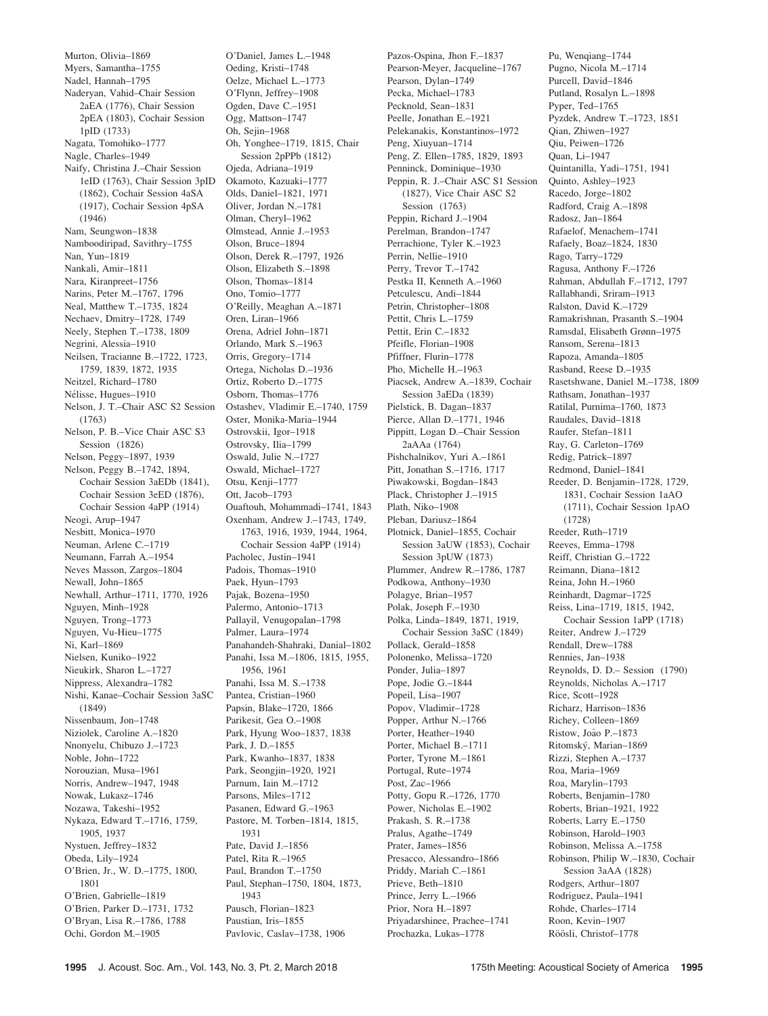Murton, Olivia–1869 Myers, Samantha–1755 Nadel, Hannah–1795 Naderyan, Vahid–Chair Session 2aEA (1776), Chair Session 2pEA (1803), Cochair Session 1pID (1733) Nagata, Tomohiko–1777 Nagle, Charles–1949 Naify, Christina J.–Chair Session 1eID (1763), Chair Session 3pID (1862), Cochair Session 4aSA (1917), Cochair Session 4pSA (1946) Nam, Seungwon–1838 Namboodiripad, Savithry–1755 Nan, Yun–1819 Nankali, Amir–1811 Nara, Kiranpreet–1756 Narins, Peter M.–1767, 1796 Neal, Matthew T.–1735, 1824 Nechaev, Dmitry–1728, 1749 Neely, Stephen T.–1738, 1809 Negrini, Alessia–1910 Neilsen, Tracianne B.–1722, 1723, 1759, 1839, 1872, 1935 Neitzel, Richard–1780 Nélisse, Hugues-1910 Nelson, J. T.–Chair ASC S2 Session (1763) Nelson, P. B.–Vice Chair ASC S3 Session (1826) Nelson, Peggy–1897, 1939 Nelson, Peggy B.–1742, 1894, Cochair Session 3aEDb (1841), Cochair Session 3eED (1876), Cochair Session 4aPP (1914) Neogi, Arup–1947 Nesbitt, Monica–1970 Neuman, Arlene C.–1719 Neumann, Farrah A.–1954 Neves Masson, Zargos–1804 Newall, John–1865 Newhall, Arthur–1711, 1770, 1926 Nguyen, Minh–1928 Nguyen, Trong–1773 Nguyen, Vu-Hieu–1775 Ni, Karl–1869 Nielsen, Kuniko–1922 Nieukirk, Sharon L.–1727 Nippress, Alexandra–1782 Nishi, Kanae–Cochair Session 3aSC (1849) Nissenbaum, Jon–1748 Niziolek, Caroline A.–1820 Nnonyelu, Chibuzo J.–1723 Noble, John–1722 Norouzian, Musa–1961 Norris, Andrew–1947, 1948 Nowak, Lukasz–1746 Nozawa, Takeshi–1952 Nykaza, Edward T.–1716, 1759, 1905, 1937 Nystuen, Jeffrey–1832 Obeda, Lily–1924 O'Brien, Jr., W. D.–1775, 1800, 1801 O'Brien, Gabrielle–1819 O'Brien, Parker D.–1731, 1732 O'Bryan, Lisa R.–1786, 1788 Ochi, Gordon M.–1905

O'Daniel, James L.–1948 Oeding, Kristi–1748 Oelze, Michael L.–1773 O'Flynn, Jeffrey–1908 Ogden, Dave C.–1951 Ogg, Mattson–1747 Oh, Sejin–1968 Oh, Yonghee–1719, 1815, Chair Session 2pPPb (1812) Ojeda, Adriana–1919 Okamoto, Kazuaki–1777 Olds, Daniel–1821, 1971 Oliver, Jordan N.–1781 Olman, Cheryl–1962 Olmstead, Annie J.–1953 Olson, Bruce–1894 Olson, Derek R.–1797, 1926 Olson, Elizabeth S.–1898 Olson, Thomas–1814 Ono, Tomio–1777 O'Reilly, Meaghan A.–1871 Oren, Liran–1966 Orena, Adriel John–1871 Orlando, Mark S.–1963 Orris, Gregory–1714 Ortega, Nicholas D.–1936 Ortiz, Roberto D.–1775 Osborn, Thomas–1776 Ostashev, Vladimir E.–1740, 1759 Oster, Monika-Maria–1944 Ostrovskii, Igor–1918 Ostrovsky, Ilia–1799 Oswald, Julie N.–1727 Oswald, Michael–1727 Otsu, Kenji–1777 Ott, Jacob–1793 Ouaftouh, Mohammadi–1741, 1843 Oxenham, Andrew J.–1743, 1749, 1763, 1916, 1939, 1944, 1964, Cochair Session 4aPP (1914) Pacholec, Justin–1941 Padois, Thomas–1910 Paek, Hyun–1793 Pajak, Bozena–1950 Palermo, Antonio–1713 Pallayil, Venugopalan–1798 Palmer, Laura–1974 Panahandeh-Shahraki, Danial–1802 Panahi, Issa M.–1806, 1815, 1955, 1956, 1961 Panahi, Issa M. S.–1738 Pantea, Cristian–1960 Papsin, Blake–1720, 1866 Parikesit, Gea O.–1908 Park, Hyung Woo–1837, 1838 Park, J. D.–1855 Park, Kwanho–1837, 1838 Park, Seongjin–1920, 1921 Parnum, Iain M.–1712 Parsons, Miles–1712 Pasanen, Edward G.–1963 Pastore, M. Torben–1814, 1815, 1931 Pate, David J.–1856 Patel, Rita R.–1965 Paul, Brandon T.–1750 Paul, Stephan–1750, 1804, 1873, 1943 Pausch, Florian–1823 Paustian, Iris–1855 Pavlovic, Caslav–1738, 1906

Pazos-Ospina, Jhon F.–1837 Pearson-Meyer, Jacqueline–1767 Pearson, Dylan–1749 Pecka, Michael–1783 Pecknold, Sean–1831 Peelle, Jonathan E.–1921 Pelekanakis, Konstantinos–1972 Peng, Xiuyuan–1714 Peng, Z. Ellen–1785, 1829, 1893 Penninck, Dominique–1930 Peppin, R. J.–Chair ASC S1 Session (1827), Vice Chair ASC S2 Session (1763) Peppin, Richard J.–1904 Perelman, Brandon–1747 Perrachione, Tyler K.–1923 Perrin, Nellie–1910 Perry, Trevor T.–1742 Pestka II, Kenneth A.–1960 Petculescu, Andi–1844 Petrin, Christopher–1808 Pettit, Chris L.–1759 Pettit, Erin C.–1832 Pfeifle, Florian–1908 Pfiffner, Flurin–1778 Pho, Michelle H.–1963 Piacsek, Andrew A.–1839, Cochair Session 3aEDa (1839) Pielstick, B. Dagan–1837 Pierce, Allan D.–1771, 1946 Pippitt, Logan D.–Chair Session 2aAAa (1764) Pishchalnikov, Yuri A.–1861 Pitt, Jonathan S.–1716, 1717 Piwakowski, Bogdan–1843 Plack, Christopher J.–1915 Plath, Niko–1908 Pleban, Dariusz–1864 Plotnick, Daniel–1855, Cochair Session 3aUW (1853), Cochair Session 3pUW (1873) Plummer, Andrew R.–1786, 1787 Podkowa, Anthony–1930 Polagye, Brian–1957 Polak, Joseph F.–1930 Polka, Linda–1849, 1871, 1919, Cochair Session 3aSC (1849) Pollack, Gerald–1858 Polonenko, Melissa–1720 Ponder, Julia–1897 Pope, Jodie G.–1844 Popeil, Lisa–1907 Popov, Vladimir–1728 Popper, Arthur N.–1766 Porter, Heather–1940 Porter, Michael B.–1711 Porter, Tyrone M.–1861 Portugal, Rute–1974 Post, Zac–1966 Potty, Gopu R.–1726, 1770 Power, Nicholas E.–1902 Prakash, S. R.–1738 Pralus, Agathe–1749 Prater, James–1856 Presacco, Alessandro–1866 Priddy, Mariah C.–1861 Prieve, Beth–1810 Prince, Jerry L.–1966 Prior, Nora H.–1897 Priyadarshinee, Prachee–1741 Prochazka, Lukas–1778

Pu, Wenqiang–1744 Pugno, Nicola M.–1714 Purcell, David–1846 Putland, Rosalyn L.–1898 Pyper, Ted–1765 Pyzdek, Andrew T.–1723, 1851 Qian, Zhiwen–1927 Qiu, Peiwen–1726 Quan, Li–1947 Quintanilla, Yadi–1751, 1941 Quinto, Ashley–1923 Racedo, Jorge–1802 Radford, Craig A.–1898 Radosz, Jan–1864 Rafaelof, Menachem–1741 Rafaely, Boaz–1824, 1830 Rago, Tarry–1729 Ragusa, Anthony F.–1726 Rahman, Abdullah F.–1712, 1797 Rallabhandi, Sriram–1913 Ralston, David K.–1729 Ramakrishnan, Prasanth S.–1904 Ramsdal, Elisabeth Grønn–1975 Ransom, Serena–1813 Rapoza, Amanda–1805 Rasband, Reese D.–1935 Rasetshwane, Daniel M.–1738, 1809 Rathsam, Jonathan–1937 Ratilal, Purnima–1760, 1873 Raudales, David–1818 Raufer, Stefan–1811 Ray, G. Carleton–1769 Redig, Patrick–1897 Redmond, Daniel–1841 Reeder, D. Benjamin–1728, 1729, 1831, Cochair Session 1aAO (1711), Cochair Session 1pAO (1728) Reeder, Ruth–1719 Reeves, Emma–1798 Reiff, Christian G.–1722 Reimann, Diana–1812 Reina, John H.–1960 Reinhardt, Dagmar–1725 Reiss, Lina–1719, 1815, 1942, Cochair Session 1aPP (1718) Reiter, Andrew J.–1729 Rendall, Drew–1788 Rennies, Jan–1938 Reynolds, D. D.– Session (1790) Reynolds, Nicholas A.–1717 Rice, Scott–1928 Richarz, Harrison–1836 Richey, Colleen–1869 Ristow, João P.–1873 Ritomský, Marian-1869 Rizzi, Stephen A.–1737 Roa, Maria–1969 Roa, Marylin–1793 Roberts, Benjamin–1780 Roberts, Brian–1921, 1922 Roberts, Larry E.–1750 Robinson, Harold–1903 Robinson, Melissa A.–1758 Robinson, Philip W.–1830, Cochair Session 3aAA (1828) Rodgers, Arthur–1807 Rodriguez, Paula–1941 Rohde, Charles–1714 Roon, Kevin–1907 Röösli, Christof-1778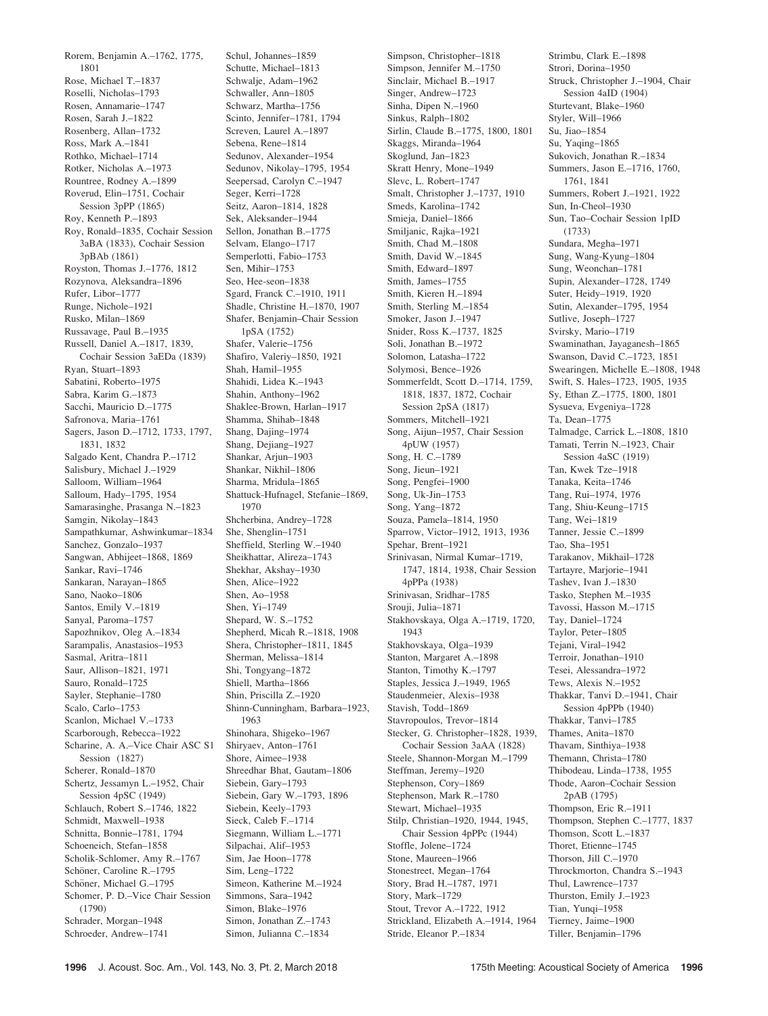Rorem, Benjamin A.–1762, 1775, 1801 Rose, Michael T.–1837 Roselli, Nicholas–1793 Rosen, Annamarie–1747 Rosen, Sarah J.–1822 Rosenberg, Allan–1732 Ross, Mark A.–1841 Rothko, Michael–1714 Rotker, Nicholas A.–1973 Rountree, Rodney A.–1899 Roverud, Elin–1751, Cochair Session 3pPP (1865) Roy, Kenneth P.–1893 Roy, Ronald–1835, Cochair Session 3aBA (1833), Cochair Session 3pBAb (1861) Royston, Thomas J.–1776, 1812 Rozynova, Aleksandra–1896 Rufer, Libor–1777 Runge, Nichole–1921 Rusko, Milan–1869 Russavage, Paul B.–1935 Russell, Daniel A.–1817, 1839, Cochair Session 3aEDa (1839) Ryan, Stuart–1893 Sabatini, Roberto–1975 Sabra, Karim G.–1873 Sacchi, Mauricio D.–1775 Safronova, Maria–1761 Sagers, Jason D.–1712, 1733, 1797, 1831, 1832 Salgado Kent, Chandra P.–1712 Salisbury, Michael J.–1929 Salloom, William–1964 Salloum, Hady–1795, 1954 Samarasinghe, Prasanga N.–1823 Samgin, Nikolay–1843 Sampathkumar, Ashwinkumar–1834 Sanchez, Gonzalo–1937 Sangwan, Abhijeet–1868, 1869 Sankar, Ravi–1746 Sankaran, Narayan–1865 Sano, Naoko–1806 Santos, Emily V.–1819 Sanyal, Paroma–1757 Sapozhnikov, Oleg A.–1834 Sarampalis, Anastasios–1953 Sasmal, Aritra–1811 Saur, Allison–1821, 1971 Sauro, Ronald–1725 Sayler, Stephanie–1780 Scalo, Carlo–1753 Scanlon, Michael V.–1733 Scarborough, Rebecca–1922 Scharine, A. A.–Vice Chair ASC S1 Session (1827) Scherer, Ronald–1870 Schertz, Jessamyn L.–1952, Chair Session 4pSC (1949) Schlauch, Robert S.–1746, 1822 Schmidt, Maxwell–1938 Schnitta, Bonnie–1781, 1794 Schoeneich, Stefan–1858 Scholik-Schlomer, Amy R.–1767 Schöner, Caroline R.–1795 Schöner, Michael G.-1795 Schomer, P. D.–Vice Chair Session (1790) Schrader, Morgan–1948 Schroeder, Andrew–1741

Schul, Johannes–1859 Schutte, Michael–1813 Schwalje, Adam–1962 Schwaller, Ann–1805 Schwarz, Martha–1756 Scinto, Jennifer–1781, 1794 Screven, Laurel A.–1897 Sebena, Rene–1814 Sedunov, Alexander–1954 Sedunov, Nikolay–1795, 1954 Seepersad, Carolyn C.–1947 Seger, Kerri–1728 Seitz, Aaron–1814, 1828 Sek, Aleksander–1944 Sellon, Jonathan B.–1775 Selvam, Elango–1717 Semperlotti, Fabio–1753 Sen, Mihir–1753 Seo, Hee-seon–1838 Sgard, Franck C.–1910, 1911 Shadle, Christine H.–1870, 1907 Shafer, Benjamin–Chair Session 1pSA (1752) Shafer, Valerie–1756 Shafiro, Valeriy–1850, 1921 Shah, Hamil–1955 Shahidi, Lidea K.–1943 Shahin, Anthony–1962 Shaklee-Brown, Harlan–1917 Shamma, Shihab–1848 Shang, Dajing–1974 Shang, Dejiang–1927 Shankar, Arjun–1903 Shankar, Nikhil–1806 Sharma, Mridula–1865 Shattuck-Hufnagel, Stefanie–1869, 1970 Shcherbina, Andrey–1728 She, Shenglin–1751 Sheffield, Sterling W.–1940 Sheikhattar, Alireza–1743 Shekhar, Akshay–1930 Shen, Alice–1922 Shen, Ao–1958 Shen, Yi–1749 Shepard, W. S.–1752 Shepherd, Micah R.–1818, 1908 Shera, Christopher–1811, 1845 Sherman, Melissa–1814 Shi, Tongyang–1872 Shiell, Martha–1866 Shin, Priscilla Z.–1920 Shinn-Cunningham, Barbara–1923, 1963 Shinohara, Shigeko–1967 Shiryaev, Anton–1761 Shore, Aimee–1938 Shreedhar Bhat, Gautam–1806 Siebein, Gary–1793 Siebein, Gary W.–1793, 1896 Siebein, Keely–1793 Sieck, Caleb F.–1714 Siegmann, William L.–1771 Silpachai, Alif–1953 Sim, Jae Hoon–1778 Sim, Leng–1722 Simeon, Katherine M.–1924 Simmons, Sara–1942 Simon, Blake–1976 Simon, Jonathan Z.–1743 Simon, Julianna C.–1834

Simpson, Christopher–1818 Simpson, Jennifer M.–1750 Sinclair, Michael B.–1917 Singer, Andrew–1723 Sinha, Dipen N.–1960 Sinkus, Ralph–1802 Sirlin, Claude B.–1775, 1800, 1801 Skaggs, Miranda–1964 Skoglund, Jan–1823 Skratt Henry, Mone–1949 Slevc, L. Robert–1747 Smalt, Christopher J.–1737, 1910 Smeds, Karolina–1742 Smieja, Daniel–1866 Smiljanic, Rajka–1921 Smith, Chad M.–1808 Smith, David W.–1845 Smith, Edward–1897 Smith, James–1755 Smith, Kieren H.–1894 Smith, Sterling M.–1854 Smoker, Jason J.–1947 Snider, Ross K.–1737, 1825 Soli, Jonathan B.–1972 Solomon, Latasha–1722 Solymosi, Bence–1926 Sommerfeldt, Scott D.–1714, 1759, 1818, 1837, 1872, Cochair Session 2pSA (1817) Sommers, Mitchell–1921 Song, Aijun–1957, Chair Session 4pUW (1957) Song, H. C.–1789 Song, Jieun–1921 Song, Pengfei–1900 Song, Uk-Jin–1753 Song, Yang–1872 Souza, Pamela–1814, 1950 Sparrow, Victor–1912, 1913, 1936 Spehar, Brent–1921 Srinivasan, Nirmal Kumar–1719, 1747, 1814, 1938, Chair Session 4pPPa (1938) Srinivasan, Sridhar–1785 Srouji, Julia-1871 Stakhovskaya, Olga A.–1719, 1720, 1943 Stakhovskaya, Olga–1939 Stanton, Margaret A.–1898 Stanton, Timothy K.–1797 Staples, Jessica J.–1949, 1965 Staudenmeier, Alexis–1938 Stavish, Todd–1869 Stavropoulos, Trevor–1814 Stecker, G. Christopher–1828, 1939, Cochair Session 3aAA (1828) Steele, Shannon-Morgan M.–1799 Steffman, Jeremy–1920 Stephenson, Cory–1869 Stephenson, Mark R.–1780 Stewart, Michael–1935 Stilp, Christian–1920, 1944, 1945, Chair Session 4pPPc (1944) Stoffle, Jolene–1724 Stone, Maureen–1966 Stonestreet, Megan–1764 Story, Brad H.–1787, 1971 Story, Mark–1729 Stout, Trevor A.–1722, 1912 Strickland, Elizabeth A.–1914, 1964 Stride, Eleanor P.–1834

Strimbu, Clark E.–1898 Strori, Dorina–1950 Struck, Christopher J.–1904, Chair Session 4aID (1904) Sturtevant, Blake–1960 Styler, Will–1966 Su, Jiao–1854 Su, Yaqing-1865 Sukovich, Jonathan R.–1834 Summers, Jason E.–1716, 1760, 1761, 1841 Summers, Robert J.–1921, 1922 Sun, In-Cheol–1930 Sun, Tao–Cochair Session 1pID (1733) Sundara, Megha–1971 Sung, Wang-Kyung–1804 Sung, Weonchan–1781 Supin, Alexander–1728, 1749 Suter, Heidy–1919, 1920 Sutin, Alexander–1795, 1954 Sutlive, Joseph–1727 Svirsky, Mario–1719 Swaminathan, Jayaganesh–1865 Swanson, David C.–1723, 1851 Swearingen, Michelle E.–1808, 1948 Swift, S. Hales–1723, 1905, 1935 Sy, Ethan Z.–1775, 1800, 1801 Sysueva, Evgeniya–1728 Ta, Dean–1775 Talmadge, Carrick L.–1808, 1810 Tamati, Terrin N.–1923, Chair Session 4aSC (1919) Tan, Kwek Tze–1918 Tanaka, Keita–1746 Tang, Rui–1974, 1976 Tang, Shiu-Keung–1715 Tang, Wei–1819 Tanner, Jessie C.–1899 Tao, Sha–1951 Tarakanov, Mikhail–1728 Tartayre, Marjorie–1941 Tashev, Ivan J.–1830 Tasko, Stephen M.–1935 Tavossi, Hasson M.–1715 Tay, Daniel–1724 Taylor, Peter–1805 Tejani, Viral–1942 Terroir, Jonathan–1910 Tesei, Alessandra–1972 Tews, Alexis N.–1952 Thakkar, Tanvi D.–1941, Chair Session 4pPPb (1940) Thakkar, Tanvi–1785 Thames, Anita–1870 Thavam, Sinthiya–1938 Themann, Christa–1780 Thibodeau, Linda–1738, 1955 Thode, Aaron–Cochair Session 2pAB (1795) Thompson, Eric R.–1911 Thompson, Stephen C.–1777, 1837 Thomson, Scott L.–1837 Thoret, Etienne–1745 Thorson, Jill C.–1970 Throckmorton, Chandra S.–1943 Thul, Lawrence–1737 Thurston, Emily J.–1923 Tian, Yunqi–1958 Tierney, Jaime–1900 Tiller, Benjamin–1796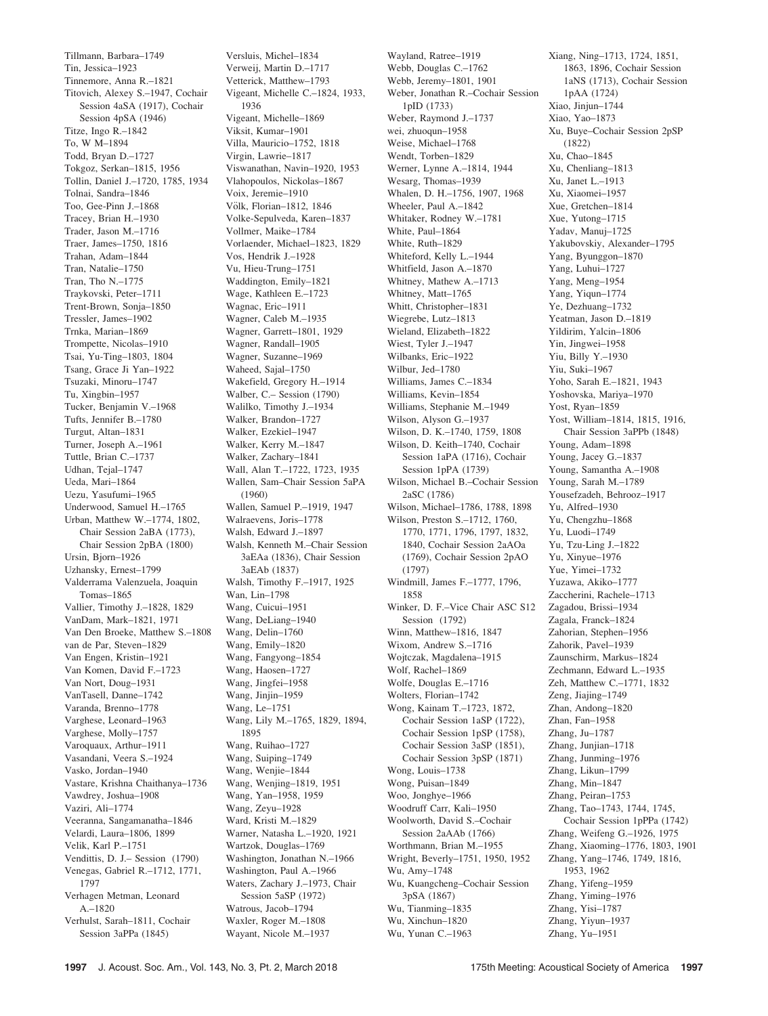Tillmann, Barbara–1749 Tin, Jessica–1923 Tinnemore, Anna R.–1821 Titovich, Alexey S.–1947, Cochair Session 4aSA (1917), Cochair Session 4pSA (1946) Titze, Ingo R.–1842 To, W M–1894 Todd, Bryan D.–1727 Tokgoz, Serkan–1815, 1956 Tollin, Daniel J.–1720, 1785, 1934 Tolnai, Sandra–1846 Too, Gee-Pinn J.–1868 Tracey, Brian H.–1930 Trader, Jason M.–1716 Traer, James–1750, 1816 Trahan, Adam–1844 Tran, Natalie–1750 Tran, Tho N.–1775 Traykovski, Peter–1711 Trent-Brown, Sonja–1850 Tressler, James–1902 Trnka, Marian–1869 Trompette, Nicolas–1910 Tsai, Yu-Ting–1803, 1804 Tsang, Grace Ji Yan–1922 Tsuzaki, Minoru–1747 Tu, Xingbin–1957 Tucker, Benjamin V.–1968 Tufts, Jennifer B.–1780 Turgut, Altan–1831 Turner, Joseph A.–1961 Tuttle, Brian C.–1737 Udhan, Tejal–1747 Ueda, Mari–1864 Uezu, Yasufumi–1965 Underwood, Samuel H.–1765 Urban, Matthew W.–1774, 1802, Chair Session 2aBA (1773), Chair Session 2pBA (1800) Ursin, Bjorn–1926 Uzhansky, Ernest–1799 Valderrama Valenzuela, Joaquin Tomas–1865 Vallier, Timothy J.–1828, 1829 VanDam, Mark–1821, 1971 Van Den Broeke, Matthew S.–1808 van de Par, Steven–1829 Van Engen, Kristin–1921 Van Komen, David F.–1723 Van Nort, Doug–1931 VanTasell, Danne–1742 Varanda, Brenno–1778 Varghese, Leonard–1963 Varghese, Molly–1757 Varoquaux, Arthur–1911 Vasandani, Veera S.–1924 Vasko, Jordan–1940 Vastare, Krishna Chaithanya–1736 Vawdrey, Joshua–1908 Vaziri, Ali–1774 Veeranna, Sangamanatha–1846 Velardi, Laura–1806, 1899 Velik, Karl P.–1751 Vendittis, D. J.– Session (1790) Venegas, Gabriel R.–1712, 1771, 1797 Verhagen Metman, Leonard A.–1820 Verhulst, Sarah–1811, Cochair Session 3aPPa (1845)

Versluis, Michel–1834 Verweij, Martin D.–1717 Vetterick, Matthew–1793 Vigeant, Michelle C.–1824, 1933, 1936 Vigeant, Michelle–1869 Viksit, Kumar–1901 Villa, Mauricio–1752, 1818 Virgin, Lawrie–1817 Viswanathan, Navin–1920, 1953 Vlahopoulos, Nickolas–1867 Voix, Jeremie–1910 Völk, Florian-1812, 1846 Volke-Sepulveda, Karen–1837 Vollmer, Maike–1784 Vorlaender, Michael–1823, 1829 Vos, Hendrik J.–1928 Vu, Hieu-Trung–1751 Waddington, Emily–1821 Wage, Kathleen E.–1723 Wagnac, Eric–1911 Wagner, Caleb M.–1935 Wagner, Garrett–1801, 1929 Wagner, Randall–1905 Wagner, Suzanne–1969 Waheed, Sajal–1750 Wakefield, Gregory H.–1914 Walber, C.– Session (1790) Walilko, Timothy J.–1934 Walker, Brandon–1727 Walker, Ezekiel–1947 Walker, Kerry M.–1847 Walker, Zachary–1841 Wall, Alan T.–1722, 1723, 1935 Wallen, Sam–Chair Session 5aPA (1960) Wallen, Samuel P.–1919, 1947 Walraevens, Joris–1778 Walsh, Edward J.–1897 Walsh, Kenneth M.–Chair Session 3aEAa (1836), Chair Session 3aEAb (1837) Walsh, Timothy F.–1917, 1925 Wan, Lin–1798 Wang, Cuicui–1951 Wang, DeLiang–1940 Wang, Delin–1760 Wang, Emily–1820 Wang, Fangyong–1854 Wang, Haosen–1727 Wang, Jingfei–1958 Wang, Jinjin–1959 Wang, Le–1751 Wang, Lily M.–1765, 1829, 1894, 1895 Wang, Ruihao–1727 Wang, Suiping–1749 Wang, Wenjie–1844 Wang, Wenjing–1819, 1951 Wang, Yan–1958, 1959 Wang, Zeyu–1928 Ward, Kristi M.–1829 Warner, Natasha L.–1920, 1921 Wartzok, Douglas–1769 Washington, Jonathan N.–1966 Washington, Paul A.–1966 Waters, Zachary J.–1973, Chair Session 5aSP (1972) Watrous, Jacob–1794 Waxler, Roger M.–1808 Wayant, Nicole M.–1937

Wayland, Ratree–1919 Webb, Douglas C.–1762 Webb, Jeremy–1801, 1901 Weber, Jonathan R.–Cochair Session 1pID (1733) Weber, Raymond J.–1737 wei, zhuoqun–1958 Weise, Michael–1768 Wendt, Torben–1829 Werner, Lynne A.–1814, 1944 Wesarg, Thomas–1939 Whalen, D. H.–1756, 1907, 1968 Wheeler, Paul A.–1842 Whitaker, Rodney W.–1781 White, Paul–1864 White, Ruth–1829 Whiteford, Kelly L.–1944 Whitfield, Jason A.–1870 Whitney, Mathew A.–1713 Whitney, Matt–1765 Whitt, Christopher–1831 Wiegrebe, Lutz–1813 Wieland, Elizabeth–1822 Wiest, Tyler J.–1947 Wilbanks, Eric–1922 Wilbur, Jed–1780 Williams, James C.–1834 Williams, Kevin–1854 Williams, Stephanie M.–1949 Wilson, Alyson G.–1937 Wilson, D. K.–1740, 1759, 1808 Wilson, D. Keith–1740, Cochair Session 1aPA (1716), Cochair Session 1pPA (1739) Wilson, Michael B.–Cochair Session 2aSC (1786) Wilson, Michael–1786, 1788, 1898 Wilson, Preston S.–1712, 1760, 1770, 1771, 1796, 1797, 1832, 1840, Cochair Session 2aAOa (1769), Cochair Session 2pAO (1797) Windmill, James F.–1777, 1796, 1858 Winker, D. F.–Vice Chair ASC S12 Session (1792) Winn, Matthew–1816, 1847 Wixom, Andrew S.–1716 Wojtczak, Magdalena–1915 Wolf, Rachel–1869 Wolfe, Douglas E.–1716 Wolters, Florian–1742 Wong, Kainam T.–1723, 1872, Cochair Session 1aSP (1722), Cochair Session 1pSP (1758), Cochair Session 3aSP (1851), Cochair Session 3pSP (1871) Wong, Louis–1738 Wong, Puisan–1849 Woo, Jonghye–1966 Woodruff Carr, Kali–1950 Woolworth, David S.–Cochair Session 2aAAb (1766) Worthmann, Brian M.–1955 Wright, Beverly–1751, 1950, 1952 Wu, Amy–1748 Wu, Kuangcheng–Cochair Session 3pSA (1867) Wu, Tianming–1835 Wu, Xinchun–1820 Wu, Yunan C.–1963

Xiang, Ning–1713, 1724, 1851, 1863, 1896, Cochair Session 1aNS (1713), Cochair Session 1pAA (1724) Xiao, Jinjun–1744 Xiao, Yao–1873 Xu, Buye–Cochair Session 2pSP (1822) Xu, Chao–1845 Xu, Chenliang–1813 Xu, Janet L.–1913 Xu, Xiaomei–1957 Xue, Gretchen–1814 Xue, Yutong–1715 Yadav, Manuj–1725 Yakubovskiy, Alexander–1795 Yang, Byunggon–1870 Yang, Luhui–1727 Yang, Meng–1954 Yang, Yiqun–1774 Ye, Dezhuang–1732 Yeatman, Jason D.–1819 Yildirim, Yalcin–1806 Yin, Jingwei–1958 Yiu, Billy Y.–1930 Yiu, Suki–1967 Yoho, Sarah E.–1821, 1943 Yoshovska, Mariya–1970 Yost, Ryan–1859 Yost, William–1814, 1815, 1916, Chair Session 3aPPb (1848) Young, Adam–1898 Young, Jacey G.–1837 Young, Samantha A.–1908 Young, Sarah M.–1789 Yousefzadeh, Behrooz–1917 Yu, Alfred–1930 Yu, Chengzhu–1868 Yu, Luodi–1749 Yu, Tzu-Ling J.–1822 Yu, Xinyue–1976 Yue, Yimei–1732 Yuzawa, Akiko–1777 Zaccherini, Rachele–1713 Zagadou, Brissi–1934 Zagala, Franck–1824 Zahorian, Stephen–1956 Zahorik, Pavel–1939 Zaunschirm, Markus–1824 Zechmann, Edward L.–1935 Zeh, Matthew C.–1771, 1832 Zeng, Jiajing–1749 Zhan, Andong–1820 Zhan, Fan–1958 Zhang, Ju–1787 Zhang, Junjian–1718 Zhang, Junming–1976 Zhang, Likun–1799 Zhang, Min–1847 Zhang, Peiran–1753 Zhang, Tao–1743, 1744, 1745, Cochair Session 1pPPa (1742) Zhang, Weifeng G.–1926, 1975 Zhang, Xiaoming–1776, 1803, 1901 Zhang, Yang–1746, 1749, 1816, 1953, 1962 Zhang, Yifeng–1959 Zhang, Yiming–1976 Zhang, Yisi–1787 Zhang, Yiyun–1937 Zhang, Yu–1951